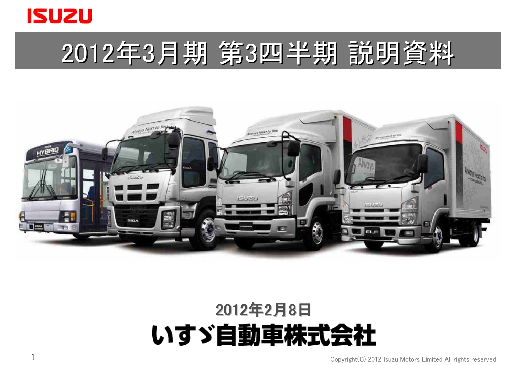

# 2012年3月期 第3四半期 説明資料



## 2012年2月8日 いすゞ自動車株式会社

Copyright(C) 2012 Isuzu Motors Limited All rights reserved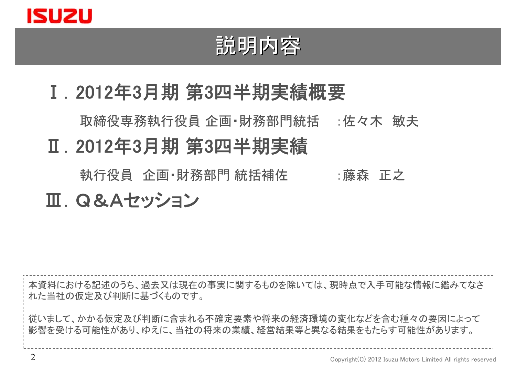

### 説明内容

### Ⅰ.2012年3月期 第3四半期実績概要

取締役専務執行役員 企画・財務部門統括 :佐々木 敏夫

### Ⅱ.2012年3月期 第3四半期実績

執行役員 企画•財務部門 統括補佐 · · · · 藤森 正之

### Ⅲ.Q&Aセッション

本資料における記述のうち、過去又は現在の事実に関するものを除いては、現時点で入手可能な情報に鑑みてなさ れた当社の仮定及び判断に基づくものです。 従いまして、かかる仮定及び判断に含まれる不確定要素や将来の経済環境の変化などを含む種々の要因によって 影響を受ける可能性があり、ゆえに、当社の将来の業績、経営結果等と異なる結果をもたらす可能性があります。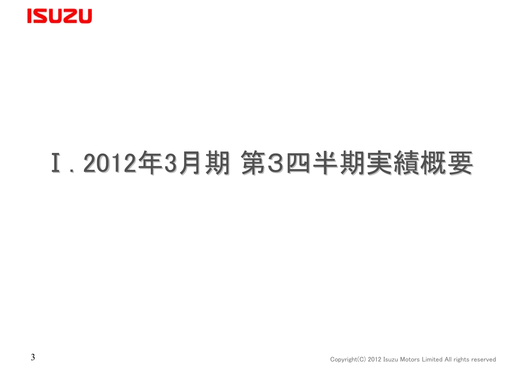

## Ⅰ. 2012年3月期 第3四半期実績概要 第3四半期実績概要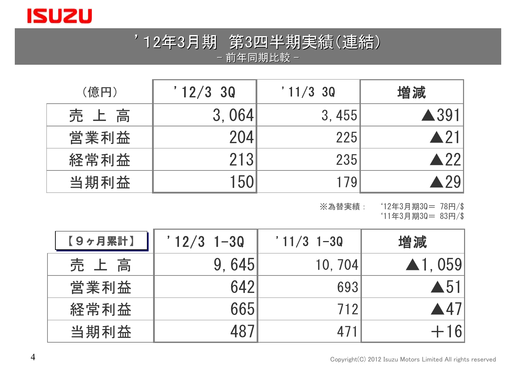

### '12年3月期 第3四半期実績(連結) 四半期実績(連結) - 前年同期比較 -

| (億円) | '12/330 | '11/330 | 増減                   |
|------|---------|---------|----------------------|
| 売上高  | 3,064   | 3,455   | $\blacktriangle$ 391 |
| 営業利益 | 204     | 225     | $\blacktriangle$ 21  |
| 経常利益 | 213     | 235     | $\blacktriangle$ 22  |
| 当期利益 | 150     | 179     |                      |

※為替実績: '12年3月期3Q= 78円/\$

'11年3月期3Q= 83円/\$

| 【9ヶ月累計】 | $'12/3$ 1-30 | $'11/3$ 1-30 | 増減                      |
|---------|--------------|--------------|-------------------------|
| 売上高     | 9.645        | 10, 704      | $\blacktriangle$ 1, 059 |
| 営業利益    | 642          | 693          | $\blacktriangle 51$     |
| 経常利益    | 665          | 712          | $\blacktriangle$ 47     |
| 当期利益    |              |              |                         |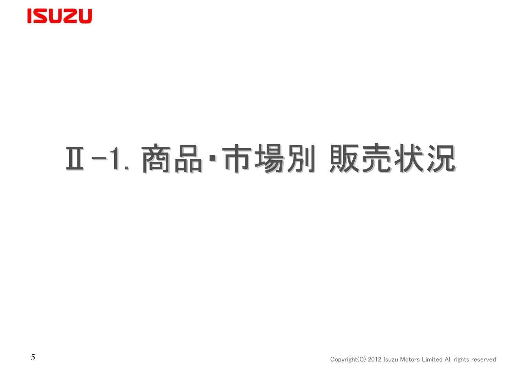

# Ⅱ-1. 商品・市場別 販売状況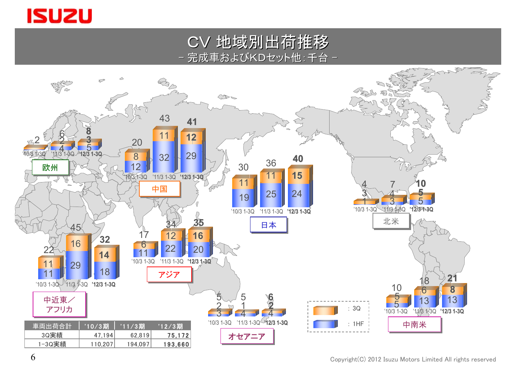

CV 地域別出荷推移 地域別出荷推移 完成車およびKDセット他:千台 -

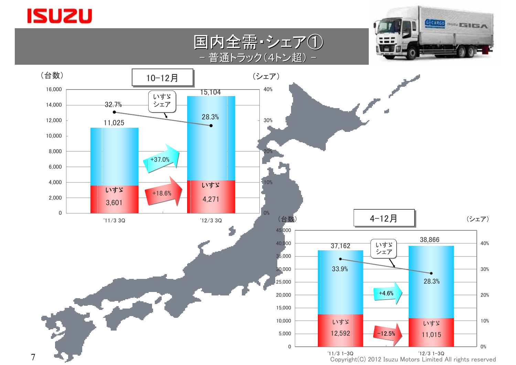### **ISUZU**

7





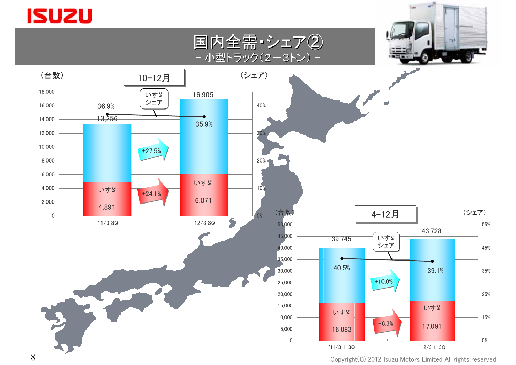### **ISUZU**



Copyright(C) 2012 Isuzu Motors Limited All rights reserved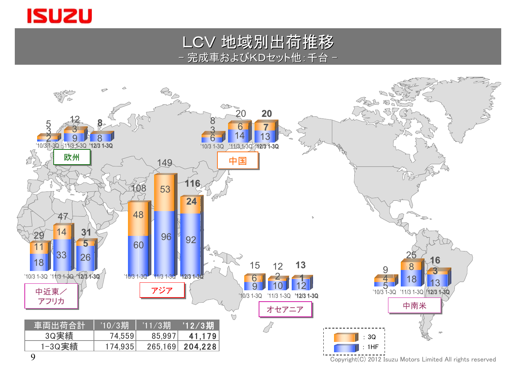

LCV 地域別出荷推移 完成車およびKDセット他:千台 -

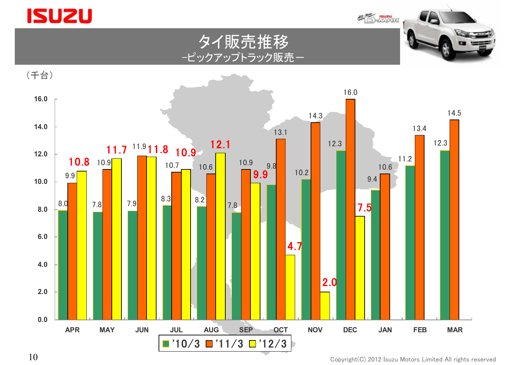

**M. New ISUZU** 





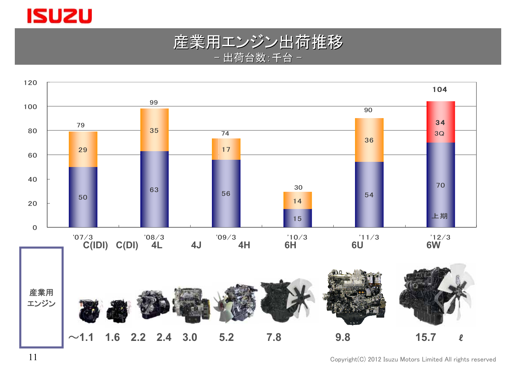





Copyright(C) 2012 Isuzu Motors Limited All rights reserved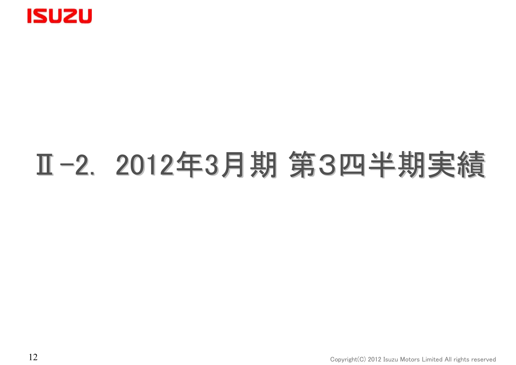

# Ⅱ-2. 2012年3月期 第3四半期実績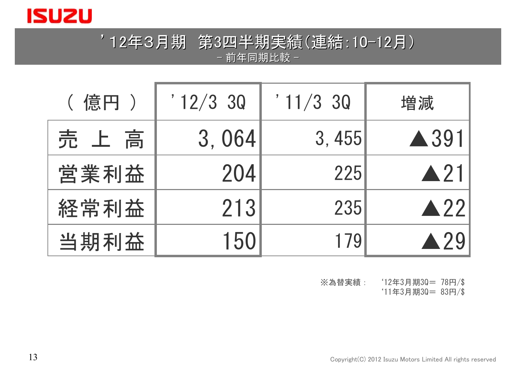

### '12年3月期 第3四半期実績(連結: 四半期実績(連結:10-12月) - 前年同期比較 -

| ( 億円 ) | ' 12/3 30 | '11/330 | 増減                  |
|--------|-----------|---------|---------------------|
| 売 上 高  | 3,064     | 3,455   | $\triangle$ 391     |
| 営業利益   | 204       | 225     | $\triangle$ 21      |
| 経常利益   | 213       | 235     | $\blacktriangle$ 22 |
| 当期利益   | 150       | 179     | A 79                |

※為替実績: '12年3月期3Q= 78円/\$

'11年3月期3Q= 83円/\$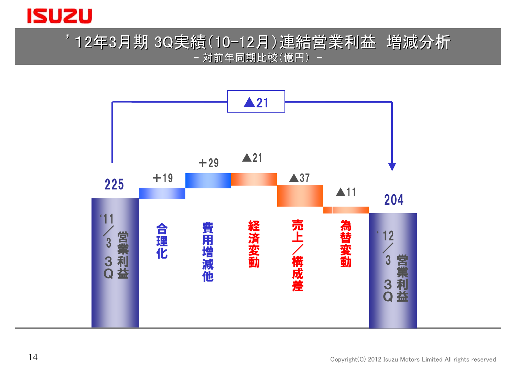

### '12年3月期 3Q実績(10-12月)連結営業利益 増減分析 -対前年同期比較(億円)-

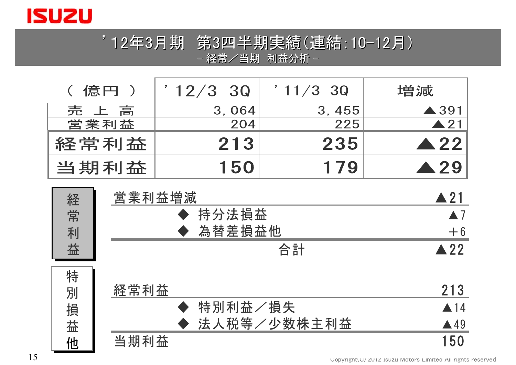

### '12年3月期 第3四半期実績(連結: 四半期実績(連結:10-12月) - 経常/当期 利益分析 -

| ( 億円 ) | $12/3$ 3Q | '11/330 | 増減                  |
|--------|-----------|---------|---------------------|
| 売上高    | 3,064     | 3, 455  | $\triangle$ 391     |
| 営業利益   | 204       | 225     | $\blacktriangle$ 21 |
| 経常利益   | 213       | 235     | $\blacktriangle$ 22 |
| 当期利益   | 150       | 179     | $\blacktriangle$ 29 |